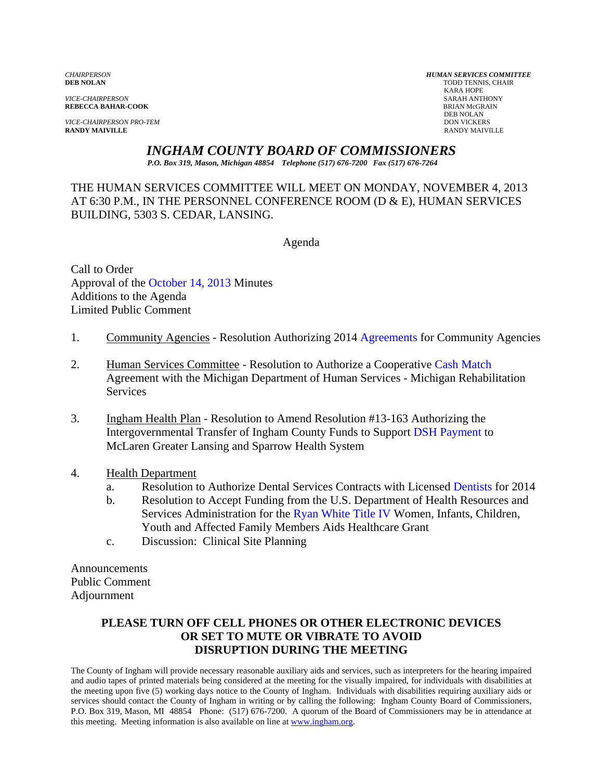*VICE-CHAIRPERSON* SARAH ANTHONY

*VICE-CHAIRPERSON PRO-TEM* DON VICKERS **RANDY MAIVILLE** RANDY MAIVILLE

*CHAIRPERSON HUMAN SERVICES COMMITTEE* TODD TENNIS, CHAIR<br>KARA HOPE KARA HOPE **REBECCA BAHAR-COOK**<br>BRIAN McGR<br>DEB NOLAN DEB NOLAN

*INGHAM COUNTY BOARD OF COMMISSIONERS* 

*P.O. Box 319, Mason, Michigan 48854 Telephone (517) 676-7200 Fax (517) 676-7264*

THE HUMAN SERVICES COMMITTEE WILL MEET ON MONDAY, NOVEMBER 4, 2013 AT 6:30 P.M., IN THE PERSONNEL CONFERENCE ROOM (D & E), HUMAN SERVICES BUILDING, 5303 S. CEDAR, LANSING.

Agenda

Call to Order Approval of [the October 14, 2013 Minutes](#page-1-0)  Additions to the Agenda Limited Public Comment

- 1. Community Agencies Resolution Authorizing 20[14 Agreements for Commun](#page-8-0)ity Agencies
- 2. Human Services Committee Resolution to Authorize a Cooperative Cash Match Agreement with the Michigan Department of Human Services - Mi[chigan Rehabilitation](#page-12-0)  **Services**
- 3. Ingham Health Plan Resolution to Amend Resolution #13-163 Authorizing the Intergovernmental Transfer of Ingham County Funds to Supp[ort DSH Payment to](#page-14-0)  McLaren Greater Lansing and Sparrow Health System
- 4. Health Department
	- a. Resolution to Authorize Dental Services Contracts with Licens[ed Dentists for 2014](#page-17-0)
	- b. Resolution to Accept Funding from the U.S. Department of Health Resources and Services Administration for [the Ryan White Title IV Wo](#page-19-0)men, Infants, Children, Youth and Affected Family Members Aids Healthcare Grant
	- c. Discussion: Clinical Site Planning

Announcements Public Comment Adjournment

# **PLEASE TURN OFF CELL PHONES OR OTHER ELECTRONIC DEVICES OR SET TO MUTE OR VIBRATE TO AVOID DISRUPTION DURING THE MEETING**

The County of Ingham will provide necessary reasonable auxiliary aids and services, such as interpreters for the hearing impaired and audio tapes of printed materials being considered at the meeting for the visually impaired, for individuals with disabilities at the meeting upon five (5) working days notice to the County of Ingham. Individuals with disabilities requiring auxiliary aids or services should contact the County of Ingham in writing or by calling the following: Ingham County Board of Commissioners, P.O. Box 319, Mason, MI 48854 Phone: (517) 676-7200. A quorum of the Board of Commissioners may be in attendance at this meeting. Meeting information is also available on line at www.ingham.org.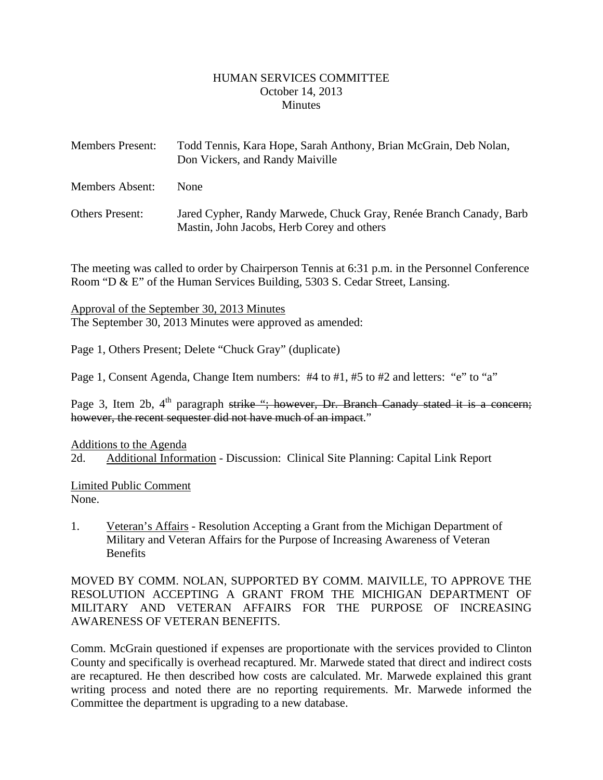#### HUMAN SERVICES COMMITTEE October 14, 2013 **Minutes**

<span id="page-1-0"></span>

| <b>Members Present:</b> | Todd Tennis, Kara Hope, Sarah Anthony, Brian McGrain, Deb Nolan,<br>Don Vickers, and Randy Maiville              |
|-------------------------|------------------------------------------------------------------------------------------------------------------|
| Members Absent:         | <b>None</b>                                                                                                      |
| <b>Others Present:</b>  | Jared Cypher, Randy Marwede, Chuck Gray, Renée Branch Canady, Barb<br>Mastin, John Jacobs, Herb Corey and others |

The meeting was called to order by Chairperson Tennis at 6:31 p.m. in the Personnel Conference Room "D & E" of the Human Services Building, 5303 S. Cedar Street, Lansing.

Approval of the September 30, 2013 Minutes The September 30, 2013 Minutes were approved as amended:

Page 1, Others Present; Delete "Chuck Gray" (duplicate)

Page 1, Consent Agenda, Change Item numbers: #4 to #1, #5 to #2 and letters: "e" to "a"

Page 3, Item 2b, 4<sup>th</sup> paragraph strike "; however, Dr. Branch Canady stated it is a concern; however, the recent sequester did not have much of an impact."

Additions to the Agenda

2d. Additional Information - Discussion: Clinical Site Planning: Capital Link Report

Limited Public Comment None.

1. Veteran's Affairs - Resolution Accepting a Grant from the Michigan Department of Military and Veteran Affairs for the Purpose of Increasing Awareness of Veteran Benefits

MOVED BY COMM. NOLAN, SUPPORTED BY COMM. MAIVILLE, TO APPROVE THE RESOLUTION ACCEPTING A GRANT FROM THE MICHIGAN DEPARTMENT OF MILITARY AND VETERAN AFFAIRS FOR THE PURPOSE OF INCREASING AWARENESS OF VETERAN BENEFITS.

Comm. McGrain questioned if expenses are proportionate with the services provided to Clinton County and specifically is overhead recaptured. Mr. Marwede stated that direct and indirect costs are recaptured. He then described how costs are calculated. Mr. Marwede explained this grant writing process and noted there are no reporting requirements. Mr. Marwede informed the Committee the department is upgrading to a new database.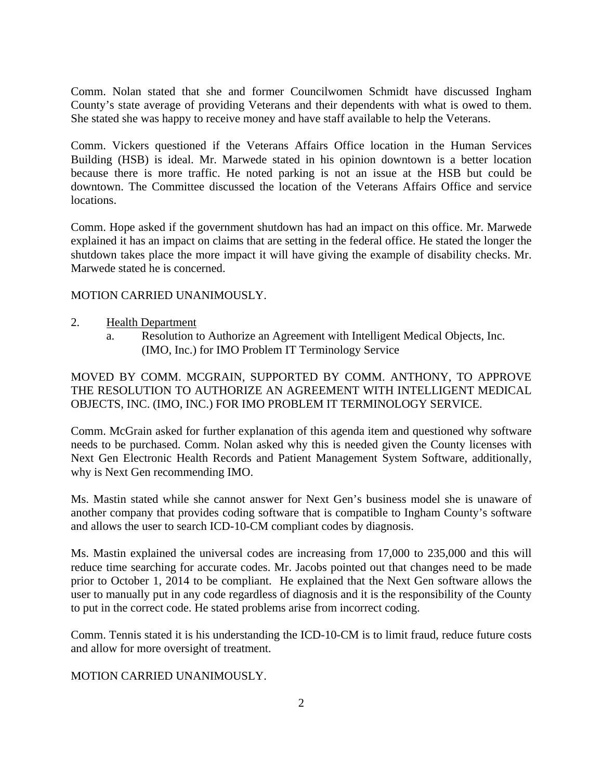Comm. Nolan stated that she and former Councilwomen Schmidt have discussed Ingham County's state average of providing Veterans and their dependents with what is owed to them. She stated she was happy to receive money and have staff available to help the Veterans.

Comm. Vickers questioned if the Veterans Affairs Office location in the Human Services Building (HSB) is ideal. Mr. Marwede stated in his opinion downtown is a better location because there is more traffic. He noted parking is not an issue at the HSB but could be downtown. The Committee discussed the location of the Veterans Affairs Office and service locations.

Comm. Hope asked if the government shutdown has had an impact on this office. Mr. Marwede explained it has an impact on claims that are setting in the federal office. He stated the longer the shutdown takes place the more impact it will have giving the example of disability checks. Mr. Marwede stated he is concerned.

#### MOTION CARRIED UNANIMOUSLY.

- 2. Health Department
	- a. Resolution to Authorize an Agreement with Intelligent Medical Objects, Inc. (IMO, Inc.) for IMO Problem IT Terminology Service

MOVED BY COMM. MCGRAIN, SUPPORTED BY COMM. ANTHONY, TO APPROVE THE RESOLUTION TO AUTHORIZE AN AGREEMENT WITH INTELLIGENT MEDICAL OBJECTS, INC. (IMO, INC.) FOR IMO PROBLEM IT TERMINOLOGY SERVICE.

Comm. McGrain asked for further explanation of this agenda item and questioned why software needs to be purchased. Comm. Nolan asked why this is needed given the County licenses with Next Gen Electronic Health Records and Patient Management System Software, additionally, why is Next Gen recommending IMO.

Ms. Mastin stated while she cannot answer for Next Gen's business model she is unaware of another company that provides coding software that is compatible to Ingham County's software and allows the user to search ICD-10-CM compliant codes by diagnosis.

Ms. Mastin explained the universal codes are increasing from 17,000 to 235,000 and this will reduce time searching for accurate codes. Mr. Jacobs pointed out that changes need to be made prior to October 1, 2014 to be compliant. He explained that the Next Gen software allows the user to manually put in any code regardless of diagnosis and it is the responsibility of the County to put in the correct code. He stated problems arise from incorrect coding.

Comm. Tennis stated it is his understanding the ICD-10-CM is to limit fraud, reduce future costs and allow for more oversight of treatment.

#### MOTION CARRIED UNANIMOUSLY.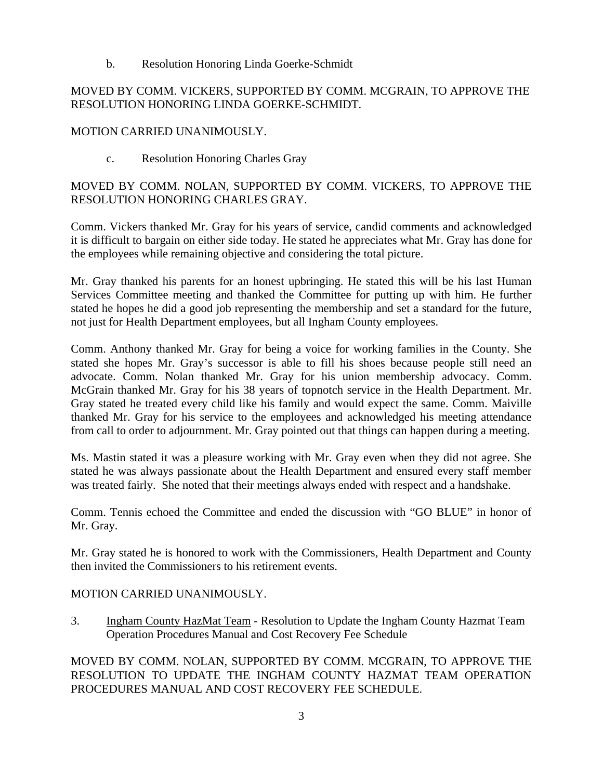b. Resolution Honoring Linda Goerke-Schmidt

# MOVED BY COMM. VICKERS, SUPPORTED BY COMM. MCGRAIN, TO APPROVE THE RESOLUTION HONORING LINDA GOERKE-SCHMIDT.

## MOTION CARRIED UNANIMOUSLY.

c. Resolution Honoring Charles Gray

# MOVED BY COMM. NOLAN, SUPPORTED BY COMM. VICKERS, TO APPROVE THE RESOLUTION HONORING CHARLES GRAY.

Comm. Vickers thanked Mr. Gray for his years of service, candid comments and acknowledged it is difficult to bargain on either side today. He stated he appreciates what Mr. Gray has done for the employees while remaining objective and considering the total picture.

Mr. Gray thanked his parents for an honest upbringing. He stated this will be his last Human Services Committee meeting and thanked the Committee for putting up with him. He further stated he hopes he did a good job representing the membership and set a standard for the future, not just for Health Department employees, but all Ingham County employees.

Comm. Anthony thanked Mr. Gray for being a voice for working families in the County. She stated she hopes Mr. Gray's successor is able to fill his shoes because people still need an advocate. Comm. Nolan thanked Mr. Gray for his union membership advocacy. Comm. McGrain thanked Mr. Gray for his 38 years of topnotch service in the Health Department. Mr. Gray stated he treated every child like his family and would expect the same. Comm. Maiville thanked Mr. Gray for his service to the employees and acknowledged his meeting attendance from call to order to adjournment. Mr. Gray pointed out that things can happen during a meeting.

Ms. Mastin stated it was a pleasure working with Mr. Gray even when they did not agree. She stated he was always passionate about the Health Department and ensured every staff member was treated fairly. She noted that their meetings always ended with respect and a handshake.

Comm. Tennis echoed the Committee and ended the discussion with "GO BLUE" in honor of Mr. Gray.

Mr. Gray stated he is honored to work with the Commissioners, Health Department and County then invited the Commissioners to his retirement events.

# MOTION CARRIED UNANIMOUSLY.

3. Ingham County HazMat Team - Resolution to Update the Ingham County Hazmat Team Operation Procedures Manual and Cost Recovery Fee Schedule

MOVED BY COMM. NOLAN, SUPPORTED BY COMM. MCGRAIN, TO APPROVE THE RESOLUTION TO UPDATE THE INGHAM COUNTY HAZMAT TEAM OPERATION PROCEDURES MANUAL AND COST RECOVERY FEE SCHEDULE.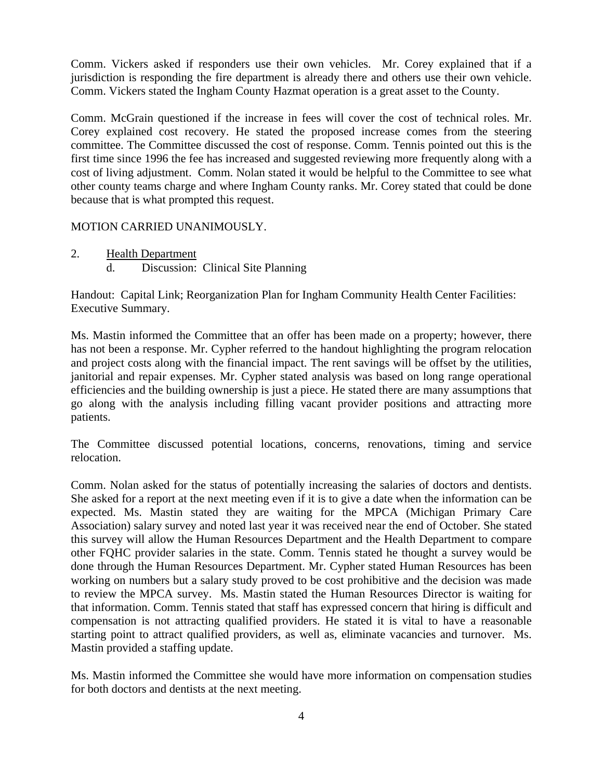Comm. Vickers asked if responders use their own vehicles. Mr. Corey explained that if a jurisdiction is responding the fire department is already there and others use their own vehicle. Comm. Vickers stated the Ingham County Hazmat operation is a great asset to the County.

Comm. McGrain questioned if the increase in fees will cover the cost of technical roles. Mr. Corey explained cost recovery. He stated the proposed increase comes from the steering committee. The Committee discussed the cost of response. Comm. Tennis pointed out this is the first time since 1996 the fee has increased and suggested reviewing more frequently along with a cost of living adjustment. Comm. Nolan stated it would be helpful to the Committee to see what other county teams charge and where Ingham County ranks. Mr. Corey stated that could be done because that is what prompted this request.

### MOTION CARRIED UNANIMOUSLY.

2. Health Department d. Discussion: Clinical Site Planning

Handout: Capital Link; Reorganization Plan for Ingham Community Health Center Facilities: Executive Summary.

Ms. Mastin informed the Committee that an offer has been made on a property; however, there has not been a response. Mr. Cypher referred to the handout highlighting the program relocation and project costs along with the financial impact. The rent savings will be offset by the utilities, janitorial and repair expenses. Mr. Cypher stated analysis was based on long range operational efficiencies and the building ownership is just a piece. He stated there are many assumptions that go along with the analysis including filling vacant provider positions and attracting more patients.

The Committee discussed potential locations, concerns, renovations, timing and service relocation.

Comm. Nolan asked for the status of potentially increasing the salaries of doctors and dentists. She asked for a report at the next meeting even if it is to give a date when the information can be expected. Ms. Mastin stated they are waiting for the MPCA (Michigan Primary Care Association) salary survey and noted last year it was received near the end of October. She stated this survey will allow the Human Resources Department and the Health Department to compare other FQHC provider salaries in the state. Comm. Tennis stated he thought a survey would be done through the Human Resources Department. Mr. Cypher stated Human Resources has been working on numbers but a salary study proved to be cost prohibitive and the decision was made to review the MPCA survey. Ms. Mastin stated the Human Resources Director is waiting for that information. Comm. Tennis stated that staff has expressed concern that hiring is difficult and compensation is not attracting qualified providers. He stated it is vital to have a reasonable starting point to attract qualified providers, as well as, eliminate vacancies and turnover. Ms. Mastin provided a staffing update.

Ms. Mastin informed the Committee she would have more information on compensation studies for both doctors and dentists at the next meeting.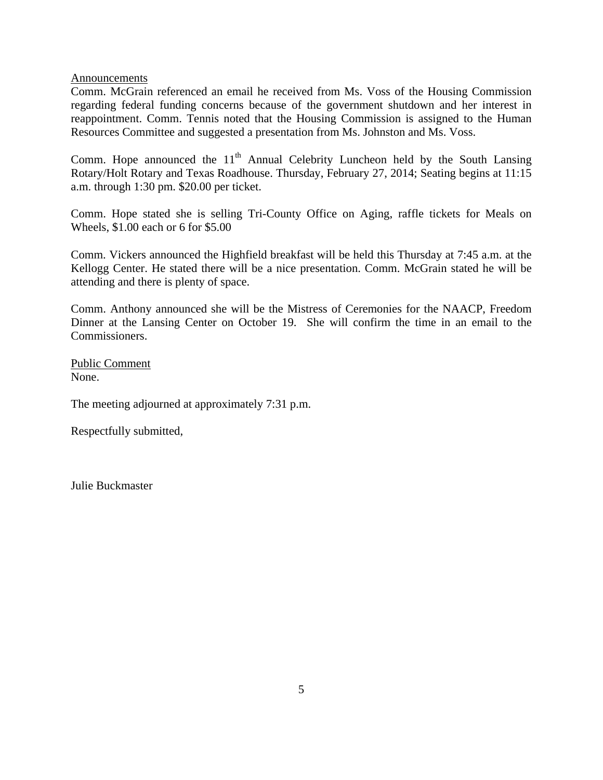Announcements

Comm. McGrain referenced an email he received from Ms. Voss of the Housing Commission regarding federal funding concerns because of the government shutdown and her interest in reappointment. Comm. Tennis noted that the Housing Commission is assigned to the Human Resources Committee and suggested a presentation from Ms. Johnston and Ms. Voss.

Comm. Hope announced the  $11<sup>th</sup>$  Annual Celebrity Luncheon held by the South Lansing Rotary/Holt Rotary and Texas Roadhouse. Thursday, February 27, 2014; Seating begins at 11:15 a.m. through 1:30 pm. \$20.00 per ticket.

Comm. Hope stated she is selling Tri-County Office on Aging, raffle tickets for Meals on Wheels, \$1.00 each or 6 for \$5.00

Comm. Vickers announced the Highfield breakfast will be held this Thursday at 7:45 a.m. at the Kellogg Center. He stated there will be a nice presentation. Comm. McGrain stated he will be attending and there is plenty of space.

Comm. Anthony announced she will be the Mistress of Ceremonies for the NAACP, Freedom Dinner at the Lansing Center on October 19. She will confirm the time in an email to the Commissioners.

Public Comment None.

The meeting adjourned at approximately 7:31 p.m.

Respectfully submitted,

Julie Buckmaster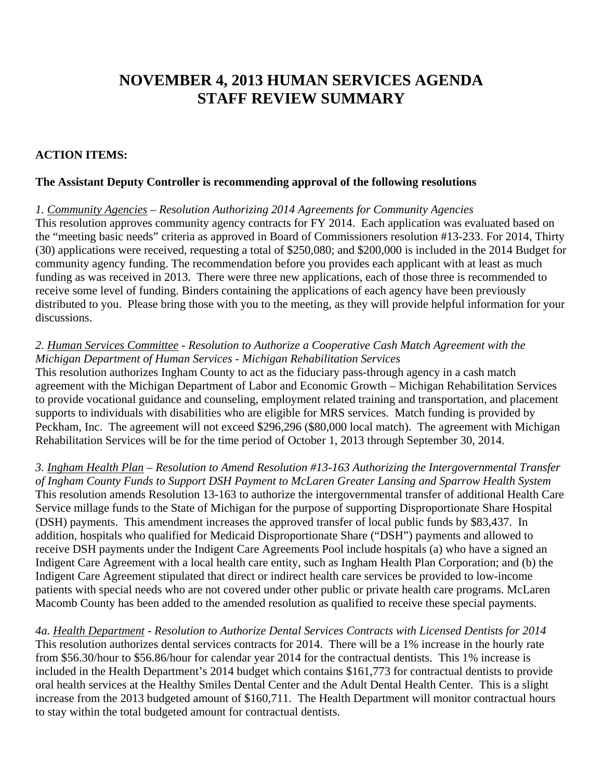# **NOVEMBER 4, 2013 HUMAN SERVICES AGENDA STAFF REVIEW SUMMARY**

## **ACTION ITEMS:**

## **The Assistant Deputy Controller is recommending approval of the following resolutions**

*1. Community Agencies – Resolution Authorizing 2014 Agreements for Community Agencies*  This resolution approves community agency contracts for FY 2014. Each application was evaluated based on the "meeting basic needs" criteria as approved in Board of Commissioners resolution #13-233. For 2014, Thirty (30) applications were received, requesting a total of \$250,080; and \$200,000 is included in the 2014 Budget for community agency funding. The recommendation before you provides each applicant with at least as much funding as was received in 2013. There were three new applications, each of those three is recommended to receive some level of funding. Binders containing the applications of each agency have been previously distributed to you. Please bring those with you to the meeting, as they will provide helpful information for your discussions.

### *2. Human Services Committee - Resolution to Authorize a Cooperative Cash Match Agreement with the Michigan Department of Human Services - Michigan Rehabilitation Services*

This resolution authorizes Ingham County to act as the fiduciary pass-through agency in a cash match agreement with the Michigan Department of Labor and Economic Growth – Michigan Rehabilitation Services to provide vocational guidance and counseling, employment related training and transportation, and placement supports to individuals with disabilities who are eligible for MRS services. Match funding is provided by Peckham, Inc. The agreement will not exceed \$296,296 (\$80,000 local match). The agreement with Michigan Rehabilitation Services will be for the time period of October 1, 2013 through September 30, 2014.

*3. Ingham Health Plan – Resolution to Amend Resolution #13-163 Authorizing the Intergovernmental Transfer of Ingham County Funds to Support DSH Payment to McLaren Greater Lansing and Sparrow Health System*  This resolution amends Resolution 13-163 to authorize the intergovernmental transfer of additional Health Care Service millage funds to the State of Michigan for the purpose of supporting Disproportionate Share Hospital (DSH) payments. This amendment increases the approved transfer of local public funds by \$83,437. In addition, hospitals who qualified for Medicaid Disproportionate Share ("DSH") payments and allowed to receive DSH payments under the Indigent Care Agreements Pool include hospitals (a) who have a signed an Indigent Care Agreement with a local health care entity, such as Ingham Health Plan Corporation; and (b) the Indigent Care Agreement stipulated that direct or indirect health care services be provided to low-income patients with special needs who are not covered under other public or private health care programs. McLaren Macomb County has been added to the amended resolution as qualified to receive these special payments.

*4a. Health Department - Resolution to Authorize Dental Services Contracts with Licensed Dentists for 2014*  This resolution authorizes dental services contracts for 2014. There will be a 1% increase in the hourly rate from \$56.30/hour to \$56.86/hour for calendar year 2014 for the contractual dentists. This 1% increase is included in the Health Department's 2014 budget which contains \$161,773 for contractual dentists to provide oral health services at the Healthy Smiles Dental Center and the Adult Dental Health Center. This is a slight increase from the 2013 budgeted amount of \$160,711. The Health Department will monitor contractual hours to stay within the total budgeted amount for contractual dentists.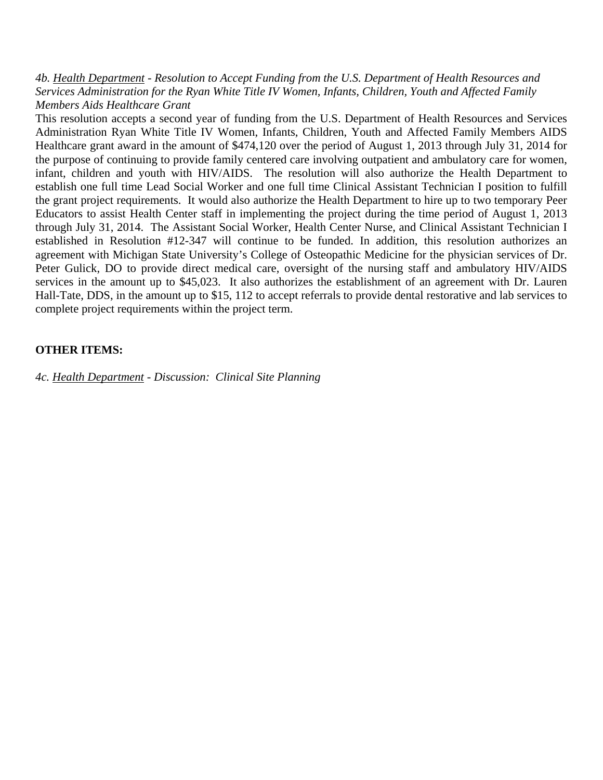*4b. Health Department - Resolution to Accept Funding from the U.S. Department of Health Resources and Services Administration for the Ryan White Title IV Women, Infants, Children, Youth and Affected Family Members Aids Healthcare Grant*

This resolution accepts a second year of funding from the U.S. Department of Health Resources and Services Administration Ryan White Title IV Women, Infants, Children, Youth and Affected Family Members AIDS Healthcare grant award in the amount of \$474,120 over the period of August 1, 2013 through July 31, 2014 for the purpose of continuing to provide family centered care involving outpatient and ambulatory care for women, infant, children and youth with HIV/AIDS. The resolution will also authorize the Health Department to establish one full time Lead Social Worker and one full time Clinical Assistant Technician I position to fulfill the grant project requirements. It would also authorize the Health Department to hire up to two temporary Peer Educators to assist Health Center staff in implementing the project during the time period of August 1, 2013 through July 31, 2014. The Assistant Social Worker, Health Center Nurse, and Clinical Assistant Technician I established in Resolution #12-347 will continue to be funded. In addition, this resolution authorizes an agreement with Michigan State University's College of Osteopathic Medicine for the physician services of Dr. Peter Gulick, DO to provide direct medical care, oversight of the nursing staff and ambulatory HIV/AIDS services in the amount up to \$45,023. It also authorizes the establishment of an agreement with Dr. Lauren Hall-Tate, DDS, in the amount up to \$15, 112 to accept referrals to provide dental restorative and lab services to complete project requirements within the project term.

#### **OTHER ITEMS:**

*4c. Health Department - Discussion: Clinical Site Planning*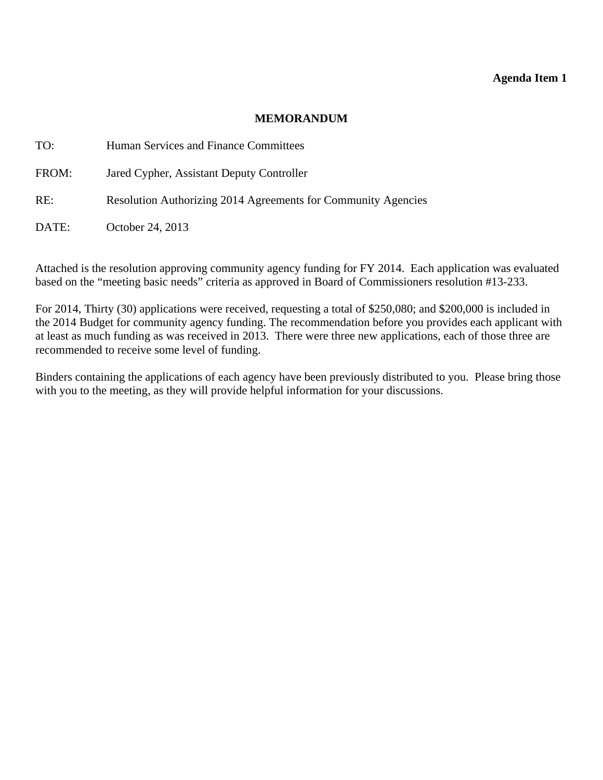#### **MEMORANDUM**

<span id="page-8-0"></span>

| TO:   | Human Services and Finance Committees                         |
|-------|---------------------------------------------------------------|
| FROM: | Jared Cypher, Assistant Deputy Controller                     |
| RE:   | Resolution Authorizing 2014 Agreements for Community Agencies |
| DATE: | October 24, 2013                                              |

Attached is the resolution approving community agency funding for FY 2014. Each application was evaluated based on the "meeting basic needs" criteria as approved in Board of Commissioners resolution #13-233.

For 2014, Thirty (30) applications were received, requesting a total of \$250,080; and \$200,000 is included in the 2014 Budget for community agency funding. The recommendation before you provides each applicant with at least as much funding as was received in 2013. There were three new applications, each of those three are recommended to receive some level of funding.

Binders containing the applications of each agency have been previously distributed to you. Please bring those with you to the meeting, as they will provide helpful information for your discussions.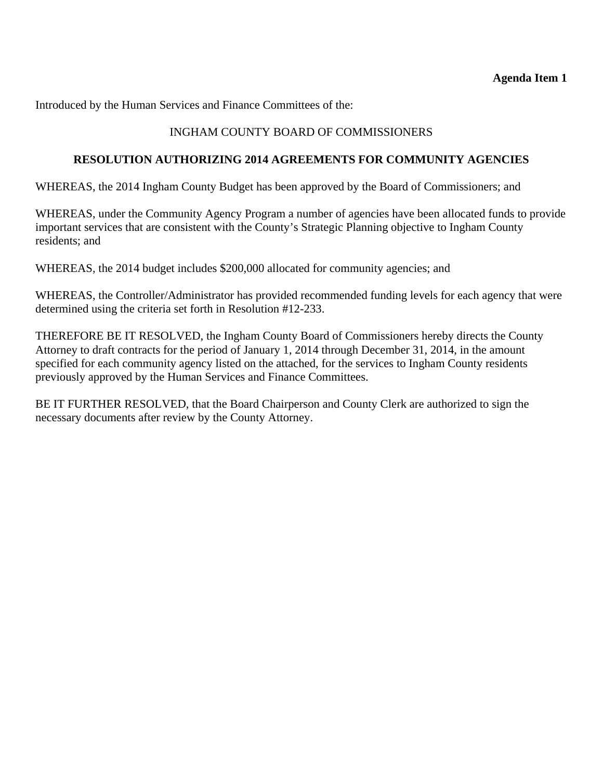Introduced by the Human Services and Finance Committees of the:

## INGHAM COUNTY BOARD OF COMMISSIONERS

### **RESOLUTION AUTHORIZING 2014 AGREEMENTS FOR COMMUNITY AGENCIES**

WHEREAS, the 2014 Ingham County Budget has been approved by the Board of Commissioners; and

WHEREAS, under the Community Agency Program a number of agencies have been allocated funds to provide important services that are consistent with the County's Strategic Planning objective to Ingham County residents; and

WHEREAS, the 2014 budget includes \$200,000 allocated for community agencies; and

WHEREAS, the Controller/Administrator has provided recommended funding levels for each agency that were determined using the criteria set forth in Resolution #12-233.

THEREFORE BE IT RESOLVED, the Ingham County Board of Commissioners hereby directs the County Attorney to draft contracts for the period of January 1, 2014 through December 31, 2014, in the amount specified for each community agency listed on the attached, for the services to Ingham County residents previously approved by the Human Services and Finance Committees.

BE IT FURTHER RESOLVED, that the Board Chairperson and County Clerk are authorized to sign the necessary documents after review by the County Attorney.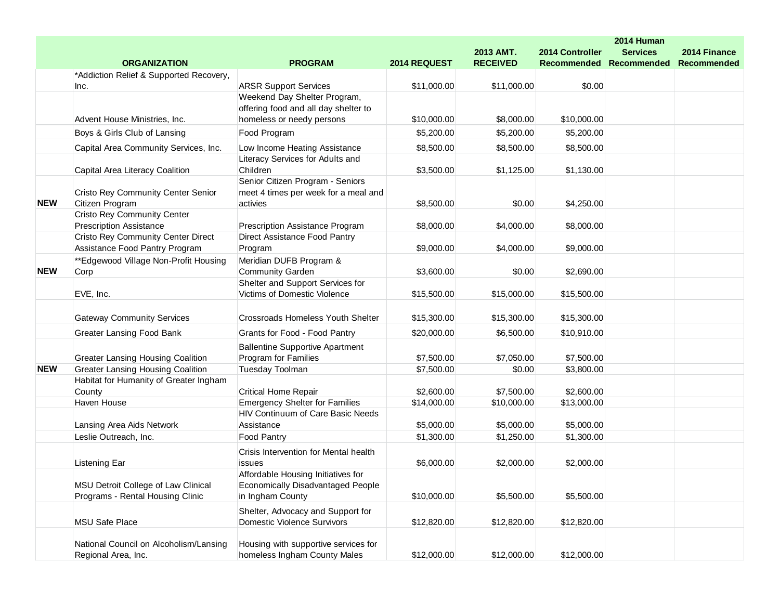|            |                                           |                                          |              |                 |                    | 2014 Human      |                    |
|------------|-------------------------------------------|------------------------------------------|--------------|-----------------|--------------------|-----------------|--------------------|
|            |                                           |                                          |              | 2013 AMT.       | 2014 Controller    | <b>Services</b> | 2014 Finance       |
|            | <b>ORGANIZATION</b>                       | <b>PROGRAM</b>                           | 2014 REQUEST | <b>RECEIVED</b> | <b>Recommended</b> | Recommended     | <b>Recommended</b> |
|            | *Addiction Relief & Supported Recovery,   |                                          |              |                 |                    |                 |                    |
|            | Inc.                                      | <b>ARSR Support Services</b>             | \$11,000.00  | \$11,000.00     | \$0.00             |                 |                    |
|            |                                           | Weekend Day Shelter Program,             |              |                 |                    |                 |                    |
|            |                                           | offering food and all day shelter to     |              |                 |                    |                 |                    |
|            | Advent House Ministries, Inc.             | homeless or needy persons                | \$10,000.00  | \$8,000.00      | \$10,000.00        |                 |                    |
|            | Boys & Girls Club of Lansing              | Food Program                             | \$5,200.00   | \$5,200.00      | \$5,200.00         |                 |                    |
|            | Capital Area Community Services, Inc.     | Low Income Heating Assistance            | \$8,500.00   | \$8,500.00      | \$8,500.00         |                 |                    |
|            |                                           | Literacy Services for Adults and         |              |                 |                    |                 |                    |
|            | Capital Area Literacy Coalition           | Children                                 | \$3,500.00   | \$1,125.00      | \$1,130.00         |                 |                    |
|            |                                           | Senior Citizen Program - Seniors         |              |                 |                    |                 |                    |
|            | <b>Cristo Rey Community Center Senior</b> | meet 4 times per week for a meal and     |              |                 |                    |                 |                    |
| <b>NEW</b> | Citizen Program                           | activies                                 | \$8,500.00   | \$0.00          | \$4,250.00         |                 |                    |
|            | <b>Cristo Rey Community Center</b>        |                                          |              |                 |                    |                 |                    |
|            | <b>Prescription Assistance</b>            | Prescription Assistance Program          | \$8,000.00   | \$4,000.00      | \$8,000.00         |                 |                    |
|            | <b>Cristo Rey Community Center Direct</b> | Direct Assistance Food Pantry            |              |                 |                    |                 |                    |
|            | Assistance Food Pantry Program            | Program                                  | \$9,000.00   | \$4,000.00      | \$9,000.00         |                 |                    |
|            | **Edgewood Village Non-Profit Housing     | Meridian DUFB Program &                  |              |                 |                    |                 |                    |
| <b>NEW</b> | Corp                                      | <b>Community Garden</b>                  | \$3,600.00   | \$0.00          | \$2,690.00         |                 |                    |
|            |                                           | Shelter and Support Services for         |              |                 |                    |                 |                    |
|            | EVE, Inc.                                 | Victims of Domestic Violence             | \$15,500.00  | \$15,000.00     | \$15,500.00        |                 |                    |
|            |                                           |                                          |              |                 |                    |                 |                    |
|            | <b>Gateway Community Services</b>         | Crossroads Homeless Youth Shelter        | \$15,300.00  | \$15,300.00     | \$15,300.00        |                 |                    |
|            | Greater Lansing Food Bank                 | Grants for Food - Food Pantry            | \$20,000.00  | \$6,500.00      | \$10,910.00        |                 |                    |
|            |                                           | <b>Ballentine Supportive Apartment</b>   |              |                 |                    |                 |                    |
|            | <b>Greater Lansing Housing Coalition</b>  | Program for Families                     | \$7,500.00   | \$7,050.00      | \$7,500.00         |                 |                    |
| <b>NEW</b> | <b>Greater Lansing Housing Coalition</b>  | Tuesday Toolman                          | \$7,500.00   | \$0.00          | \$3,800.00         |                 |                    |
|            | Habitat for Humanity of Greater Ingham    |                                          |              |                 |                    |                 |                    |
|            | County                                    | <b>Critical Home Repair</b>              | \$2,600.00   | \$7,500.00      | \$2,600.00         |                 |                    |
|            | Haven House                               | <b>Emergency Shelter for Families</b>    | \$14,000.00  | \$10,000.00     | \$13,000.00        |                 |                    |
|            |                                           | HIV Continuum of Care Basic Needs        |              |                 |                    |                 |                    |
|            | Lansing Area Aids Network                 | Assistance                               | \$5,000.00   | \$5,000.00      | \$5,000.00         |                 |                    |
|            | Leslie Outreach, Inc.                     | Food Pantry                              | \$1,300.00   | \$1,250.00      | \$1,300.00         |                 |                    |
|            |                                           |                                          |              |                 |                    |                 |                    |
|            |                                           | Crisis Intervention for Mental health    |              |                 |                    |                 |                    |
|            | Listening Ear                             | issues                                   | \$6,000.00   | \$2,000.00      | \$2,000.00         |                 |                    |
|            |                                           | Affordable Housing Initiatives for       |              |                 |                    |                 |                    |
|            | MSU Detroit College of Law Clinical       | <b>Economically Disadvantaged People</b> |              |                 |                    |                 |                    |
|            | Programs - Rental Housing Clinic          | in Ingham County                         | \$10,000.00  | \$5,500.00      | \$5,500.00         |                 |                    |
|            |                                           | Shelter, Advocacy and Support for        |              |                 |                    |                 |                    |
|            | <b>MSU Safe Place</b>                     | <b>Domestic Violence Survivors</b>       | \$12,820.00  | \$12,820.00     | \$12,820.00        |                 |                    |
|            |                                           |                                          |              |                 |                    |                 |                    |
|            | National Council on Alcoholism/Lansing    | Housing with supportive services for     |              |                 |                    |                 |                    |
|            | Regional Area, Inc.                       | homeless Ingham County Males             | \$12,000.00  | \$12,000.00     | \$12,000.00        |                 |                    |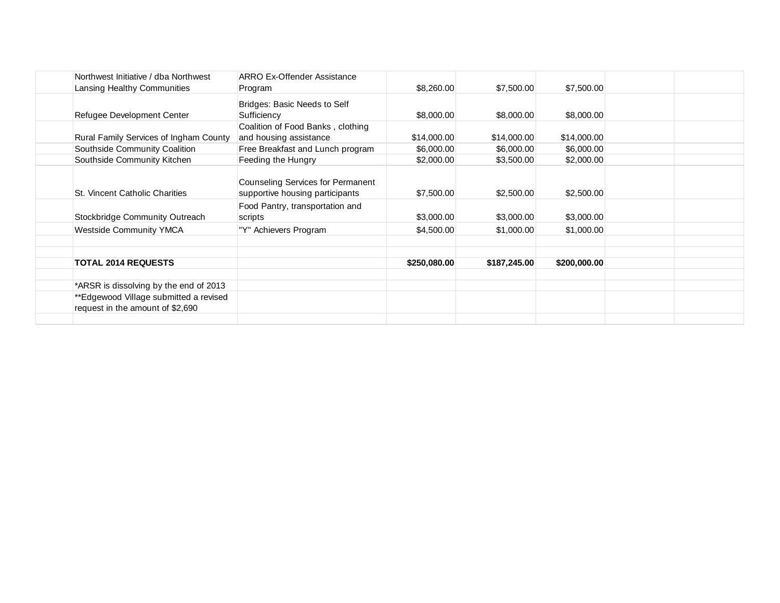| Northwest Initiative / dba Northwest   | ARRO Ex-Offender Assistance                                                 |              |              |              |  |  |
|----------------------------------------|-----------------------------------------------------------------------------|--------------|--------------|--------------|--|--|
| Lansing Healthy Communities            | Program                                                                     | \$8,260.00   | \$7,500.00   | \$7,500.00   |  |  |
| Refugee Development Center             | Bridges: Basic Needs to Self<br>Sufficiency                                 | \$8,000.00   | \$8,000.00   | \$8,000.00   |  |  |
|                                        | Coalition of Food Banks, clothing                                           |              |              |              |  |  |
| Rural Family Services of Ingham County | and housing assistance                                                      | \$14,000.00  | \$14,000.00  | \$14,000.00  |  |  |
| Southside Community Coalition          | Free Breakfast and Lunch program                                            | \$6,000.00   | \$6,000.00   | \$6,000.00   |  |  |
| Southside Community Kitchen            | Feeding the Hungry                                                          | \$2,000.00   | \$3,500.00   | \$2,000.00   |  |  |
| St. Vincent Catholic Charities         | <b>Counseling Services for Permanent</b><br>supportive housing participants | \$7,500.00   | \$2,500.00   | \$2,500.00   |  |  |
| Stockbridge Community Outreach         | Food Pantry, transportation and<br>scripts                                  | \$3,000.00   | \$3,000.00   | \$3,000.00   |  |  |
| <b>Westside Community YMCA</b>         | "Y" Achievers Program                                                       | \$4,500.00   | \$1,000.00   | \$1,000.00   |  |  |
|                                        |                                                                             |              |              |              |  |  |
| <b>TOTAL 2014 REQUESTS</b>             |                                                                             | \$250,080.00 | \$187,245.00 | \$200,000.00 |  |  |
|                                        |                                                                             |              |              |              |  |  |
| *ARSR is dissolving by the end of 2013 |                                                                             |              |              |              |  |  |
| **Edgewood Village submitted a revised |                                                                             |              |              |              |  |  |
| request in the amount of \$2,690       |                                                                             |              |              |              |  |  |
|                                        |                                                                             |              |              |              |  |  |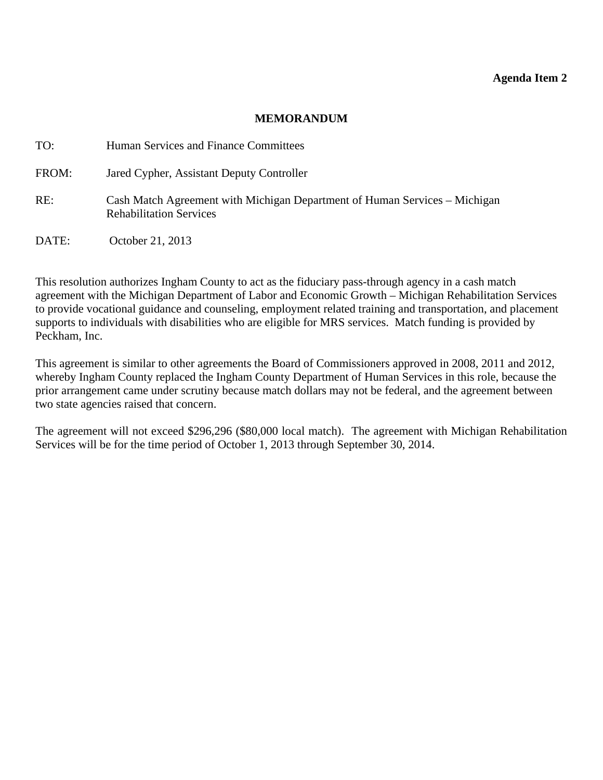#### **MEMORANDUM**

<span id="page-12-0"></span>

| TO:   | Human Services and Finance Committees                                                                        |
|-------|--------------------------------------------------------------------------------------------------------------|
| FROM: | Jared Cypher, Assistant Deputy Controller                                                                    |
| RE:   | Cash Match Agreement with Michigan Department of Human Services – Michigan<br><b>Rehabilitation Services</b> |
| DATE: | October 21, 2013                                                                                             |

This resolution authorizes Ingham County to act as the fiduciary pass-through agency in a cash match agreement with the Michigan Department of Labor and Economic Growth – Michigan Rehabilitation Services to provide vocational guidance and counseling, employment related training and transportation, and placement supports to individuals with disabilities who are eligible for MRS services. Match funding is provided by Peckham, Inc.

This agreement is similar to other agreements the Board of Commissioners approved in 2008, 2011 and 2012, whereby Ingham County replaced the Ingham County Department of Human Services in this role, because the prior arrangement came under scrutiny because match dollars may not be federal, and the agreement between two state agencies raised that concern.

The agreement will not exceed \$296,296 (\$80,000 local match). The agreement with Michigan Rehabilitation Services will be for the time period of October 1, 2013 through September 30, 2014.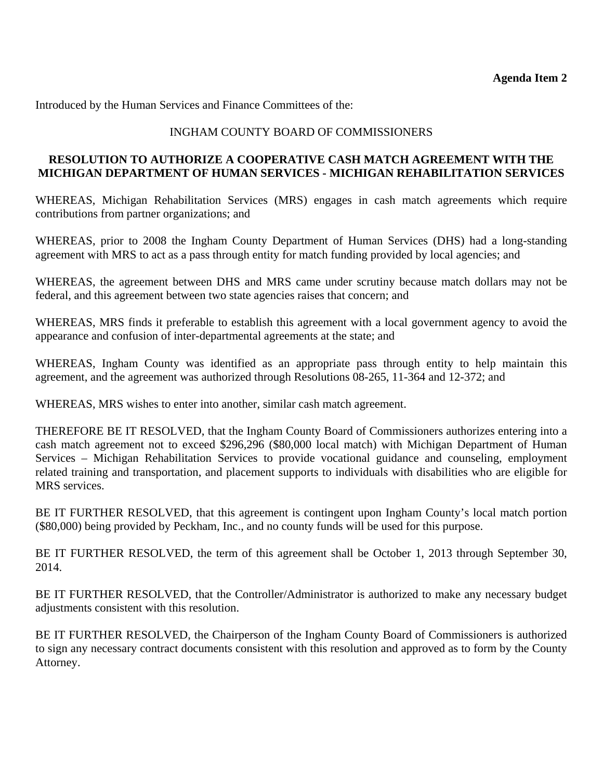Introduced by the Human Services and Finance Committees of the:

## INGHAM COUNTY BOARD OF COMMISSIONERS

### **RESOLUTION TO AUTHORIZE A COOPERATIVE CASH MATCH AGREEMENT WITH THE MICHIGAN DEPARTMENT OF HUMAN SERVICES - MICHIGAN REHABILITATION SERVICES**

WHEREAS, Michigan Rehabilitation Services (MRS) engages in cash match agreements which require contributions from partner organizations; and

WHEREAS, prior to 2008 the Ingham County Department of Human Services (DHS) had a long-standing agreement with MRS to act as a pass through entity for match funding provided by local agencies; and

WHEREAS, the agreement between DHS and MRS came under scrutiny because match dollars may not be federal, and this agreement between two state agencies raises that concern; and

WHEREAS, MRS finds it preferable to establish this agreement with a local government agency to avoid the appearance and confusion of inter-departmental agreements at the state; and

WHEREAS, Ingham County was identified as an appropriate pass through entity to help maintain this agreement, and the agreement was authorized through Resolutions 08-265, 11-364 and 12-372; and

WHEREAS, MRS wishes to enter into another, similar cash match agreement.

THEREFORE BE IT RESOLVED, that the Ingham County Board of Commissioners authorizes entering into a cash match agreement not to exceed \$296,296 (\$80,000 local match) with Michigan Department of Human Services – Michigan Rehabilitation Services to provide vocational guidance and counseling, employment related training and transportation, and placement supports to individuals with disabilities who are eligible for MRS services.

BE IT FURTHER RESOLVED, that this agreement is contingent upon Ingham County's local match portion (\$80,000) being provided by Peckham, Inc., and no county funds will be used for this purpose.

BE IT FURTHER RESOLVED, the term of this agreement shall be October 1, 2013 through September 30, 2014.

BE IT FURTHER RESOLVED, that the Controller/Administrator is authorized to make any necessary budget adjustments consistent with this resolution.

BE IT FURTHER RESOLVED, the Chairperson of the Ingham County Board of Commissioners is authorized to sign any necessary contract documents consistent with this resolution and approved as to form by the County Attorney.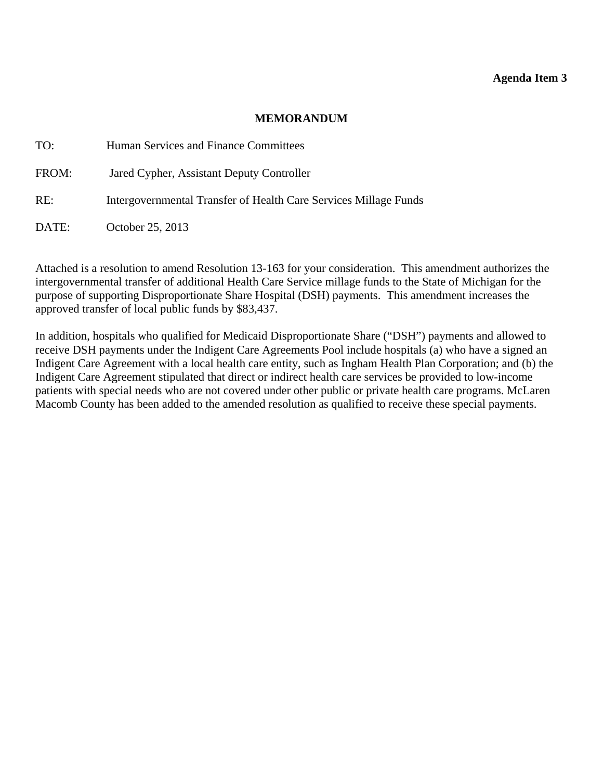#### **MEMORANDUM**

<span id="page-14-0"></span>

| TO:   | Human Services and Finance Committees                            |
|-------|------------------------------------------------------------------|
| FROM: | Jared Cypher, Assistant Deputy Controller                        |
| RE:   | Intergovernmental Transfer of Health Care Services Millage Funds |
| DATE: | October 25, 2013                                                 |

Attached is a resolution to amend Resolution 13-163 for your consideration. This amendment authorizes the intergovernmental transfer of additional Health Care Service millage funds to the State of Michigan for the purpose of supporting Disproportionate Share Hospital (DSH) payments. This amendment increases the approved transfer of local public funds by \$83,437.

In addition, hospitals who qualified for Medicaid Disproportionate Share ("DSH") payments and allowed to receive DSH payments under the Indigent Care Agreements Pool include hospitals (a) who have a signed an Indigent Care Agreement with a local health care entity, such as Ingham Health Plan Corporation; and (b) the Indigent Care Agreement stipulated that direct or indirect health care services be provided to low-income patients with special needs who are not covered under other public or private health care programs. McLaren Macomb County has been added to the amended resolution as qualified to receive these special payments.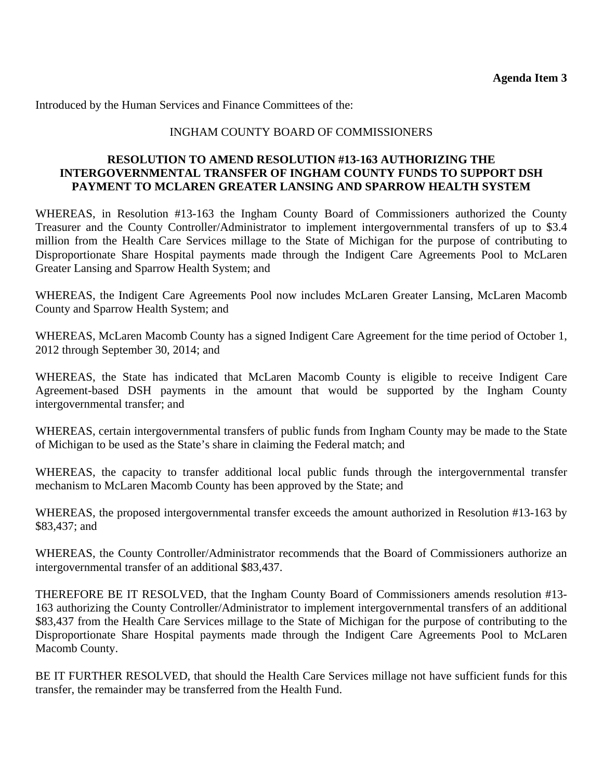Introduced by the Human Services and Finance Committees of the:

### INGHAM COUNTY BOARD OF COMMISSIONERS

### **RESOLUTION TO AMEND RESOLUTION #13-163 AUTHORIZING THE INTERGOVERNMENTAL TRANSFER OF INGHAM COUNTY FUNDS TO SUPPORT DSH PAYMENT TO MCLAREN GREATER LANSING AND SPARROW HEALTH SYSTEM**

WHEREAS, in Resolution #13-163 the Ingham County Board of Commissioners authorized the County Treasurer and the County Controller/Administrator to implement intergovernmental transfers of up to \$3.4 million from the Health Care Services millage to the State of Michigan for the purpose of contributing to Disproportionate Share Hospital payments made through the Indigent Care Agreements Pool to McLaren Greater Lansing and Sparrow Health System; and

WHEREAS, the Indigent Care Agreements Pool now includes McLaren Greater Lansing, McLaren Macomb County and Sparrow Health System; and

WHEREAS, McLaren Macomb County has a signed Indigent Care Agreement for the time period of October 1, 2012 through September 30, 2014; and

WHEREAS, the State has indicated that McLaren Macomb County is eligible to receive Indigent Care Agreement-based DSH payments in the amount that would be supported by the Ingham County intergovernmental transfer; and

WHEREAS, certain intergovernmental transfers of public funds from Ingham County may be made to the State of Michigan to be used as the State's share in claiming the Federal match; and

WHEREAS, the capacity to transfer additional local public funds through the intergovernmental transfer mechanism to McLaren Macomb County has been approved by the State; and

WHEREAS, the proposed intergovernmental transfer exceeds the amount authorized in Resolution #13-163 by \$83,437; and

WHEREAS, the County Controller/Administrator recommends that the Board of Commissioners authorize an intergovernmental transfer of an additional \$83,437.

THEREFORE BE IT RESOLVED, that the Ingham County Board of Commissioners amends resolution #13- 163 authorizing the County Controller/Administrator to implement intergovernmental transfers of an additional \$83,437 from the Health Care Services millage to the State of Michigan for the purpose of contributing to the Disproportionate Share Hospital payments made through the Indigent Care Agreements Pool to McLaren Macomb County.

BE IT FURTHER RESOLVED, that should the Health Care Services millage not have sufficient funds for this transfer, the remainder may be transferred from the Health Fund.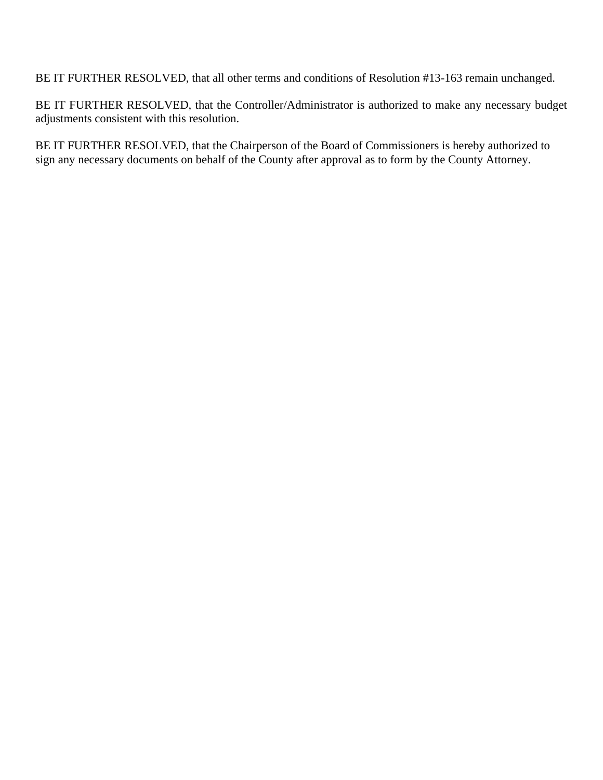BE IT FURTHER RESOLVED, that all other terms and conditions of Resolution #13-163 remain unchanged.

BE IT FURTHER RESOLVED, that the Controller/Administrator is authorized to make any necessary budget adjustments consistent with this resolution.

BE IT FURTHER RESOLVED, that the Chairperson of the Board of Commissioners is hereby authorized to sign any necessary documents on behalf of the County after approval as to form by the County Attorney.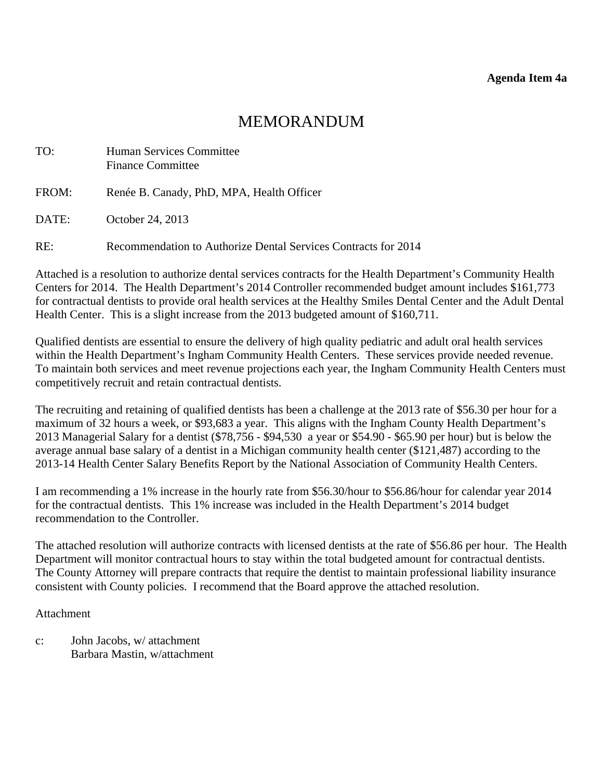# MEMORANDUM

<span id="page-17-0"></span>

| TO:   | <b>Human Services Committee</b><br><b>Finance Committee</b>    |
|-------|----------------------------------------------------------------|
| FROM: | Renée B. Canady, PhD, MPA, Health Officer                      |
| DATE: | October 24, 2013                                               |
| RE:   | Recommendation to Authorize Dental Services Contracts for 2014 |

Attached is a resolution to authorize dental services contracts for the Health Department's Community Health Centers for 2014. The Health Department's 2014 Controller recommended budget amount includes \$161,773 for contractual dentists to provide oral health services at the Healthy Smiles Dental Center and the Adult Dental Health Center. This is a slight increase from the 2013 budgeted amount of \$160,711.

Qualified dentists are essential to ensure the delivery of high quality pediatric and adult oral health services within the Health Department's Ingham Community Health Centers. These services provide needed revenue. To maintain both services and meet revenue projections each year, the Ingham Community Health Centers must competitively recruit and retain contractual dentists.

The recruiting and retaining of qualified dentists has been a challenge at the 2013 rate of \$56.30 per hour for a maximum of 32 hours a week, or \$93,683 a year. This aligns with the Ingham County Health Department's 2013 Managerial Salary for a dentist (\$78,756 - \$94,530 a year or \$54.90 - \$65.90 per hour) but is below the average annual base salary of a dentist in a Michigan community health center (\$121,487) according to the 2013-14 Health Center Salary Benefits Report by the National Association of Community Health Centers.

I am recommending a 1% increase in the hourly rate from \$56.30/hour to \$56.86/hour for calendar year 2014 for the contractual dentists. This 1% increase was included in the Health Department's 2014 budget recommendation to the Controller.

The attached resolution will authorize contracts with licensed dentists at the rate of \$56.86 per hour. The Health Department will monitor contractual hours to stay within the total budgeted amount for contractual dentists. The County Attorney will prepare contracts that require the dentist to maintain professional liability insurance consistent with County policies. I recommend that the Board approve the attached resolution.

#### Attachment

c: John Jacobs, w/ attachment Barbara Mastin, w/attachment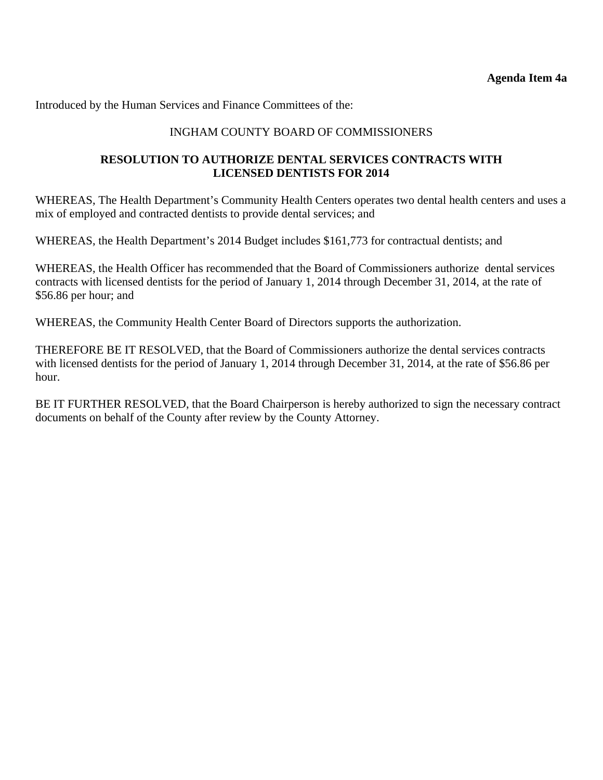Introduced by the Human Services and Finance Committees of the:

## INGHAM COUNTY BOARD OF COMMISSIONERS

## **RESOLUTION TO AUTHORIZE DENTAL SERVICES CONTRACTS WITH LICENSED DENTISTS FOR 2014**

WHEREAS, The Health Department's Community Health Centers operates two dental health centers and uses a mix of employed and contracted dentists to provide dental services; and

WHEREAS, the Health Department's 2014 Budget includes \$161,773 for contractual dentists; and

WHEREAS, the Health Officer has recommended that the Board of Commissioners authorize dental services contracts with licensed dentists for the period of January 1, 2014 through December 31, 2014, at the rate of \$56.86 per hour; and

WHEREAS, the Community Health Center Board of Directors supports the authorization.

THEREFORE BE IT RESOLVED, that the Board of Commissioners authorize the dental services contracts with licensed dentists for the period of January 1, 2014 through December 31, 2014, at the rate of \$56.86 per hour.

BE IT FURTHER RESOLVED, that the Board Chairperson is hereby authorized to sign the necessary contract documents on behalf of the County after review by the County Attorney.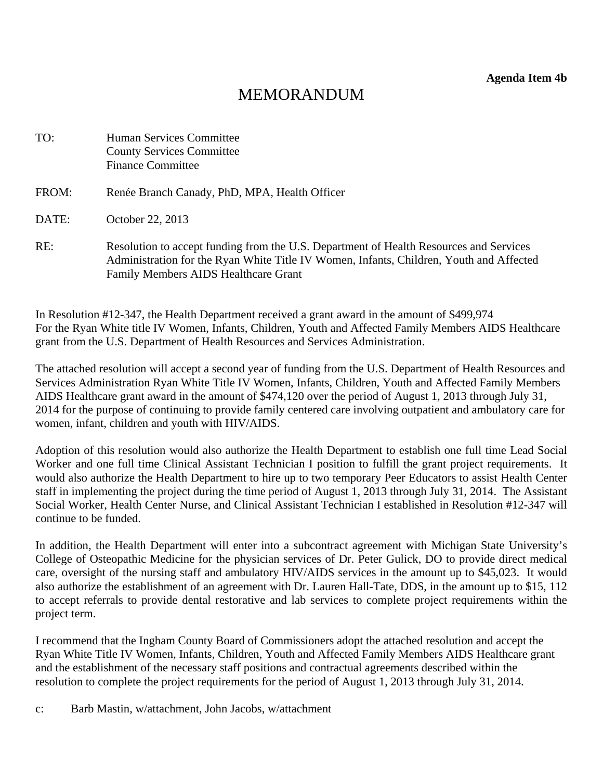**Agenda Item 4b** 

# MEMORANDUM

<span id="page-19-0"></span>

| TO:   | Human Services Committee<br><b>County Services Committee</b><br><b>Finance Committee</b>                                                                                                                                         |
|-------|----------------------------------------------------------------------------------------------------------------------------------------------------------------------------------------------------------------------------------|
| FROM: | Renée Branch Canady, PhD, MPA, Health Officer                                                                                                                                                                                    |
| DATE: | October 22, 2013                                                                                                                                                                                                                 |
| RE:   | Resolution to accept funding from the U.S. Department of Health Resources and Services<br>Administration for the Ryan White Title IV Women, Infants, Children, Youth and Affected<br><b>Family Members AIDS Healthcare Grant</b> |

In Resolution #12-347, the Health Department received a grant award in the amount of \$499,974 For the Ryan White title IV Women, Infants, Children, Youth and Affected Family Members AIDS Healthcare grant from the U.S. Department of Health Resources and Services Administration.

The attached resolution will accept a second year of funding from the U.S. Department of Health Resources and Services Administration Ryan White Title IV Women, Infants, Children, Youth and Affected Family Members AIDS Healthcare grant award in the amount of \$474,120 over the period of August 1, 2013 through July 31, 2014 for the purpose of continuing to provide family centered care involving outpatient and ambulatory care for women, infant, children and youth with HIV/AIDS.

Adoption of this resolution would also authorize the Health Department to establish one full time Lead Social Worker and one full time Clinical Assistant Technician I position to fulfill the grant project requirements. It would also authorize the Health Department to hire up to two temporary Peer Educators to assist Health Center staff in implementing the project during the time period of August 1, 2013 through July 31, 2014. The Assistant Social Worker, Health Center Nurse, and Clinical Assistant Technician I established in Resolution #12-347 will continue to be funded.

In addition, the Health Department will enter into a subcontract agreement with Michigan State University's College of Osteopathic Medicine for the physician services of Dr. Peter Gulick, DO to provide direct medical care, oversight of the nursing staff and ambulatory HIV/AIDS services in the amount up to \$45,023. It would also authorize the establishment of an agreement with Dr. Lauren Hall-Tate, DDS, in the amount up to \$15, 112 to accept referrals to provide dental restorative and lab services to complete project requirements within the project term.

I recommend that the Ingham County Board of Commissioners adopt the attached resolution and accept the Ryan White Title IV Women, Infants, Children, Youth and Affected Family Members AIDS Healthcare grant and the establishment of the necessary staff positions and contractual agreements described within the resolution to complete the project requirements for the period of August 1, 2013 through July 31, 2014.

c: Barb Mastin, w/attachment, John Jacobs, w/attachment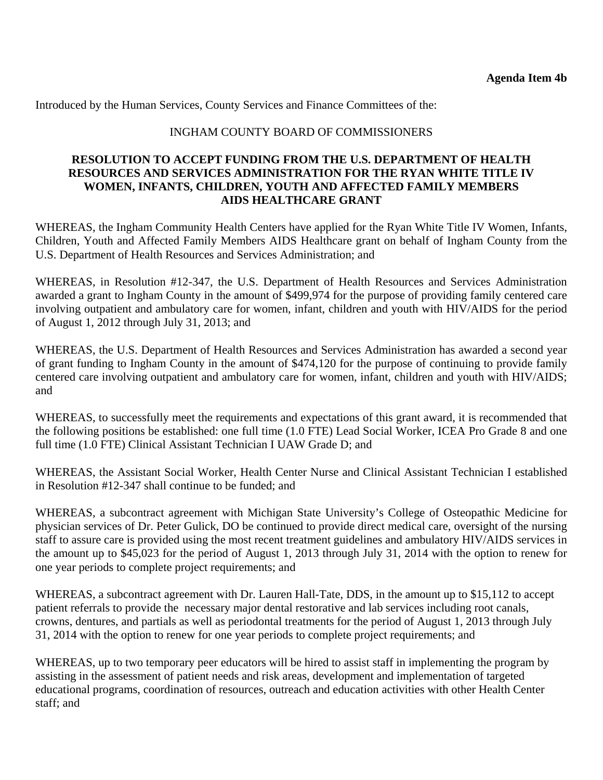Introduced by the Human Services, County Services and Finance Committees of the:

### INGHAM COUNTY BOARD OF COMMISSIONERS

#### **RESOLUTION TO ACCEPT FUNDING FROM THE U.S. DEPARTMENT OF HEALTH RESOURCES AND SERVICES ADMINISTRATION FOR THE RYAN WHITE TITLE IV WOMEN, INFANTS, CHILDREN, YOUTH AND AFFECTED FAMILY MEMBERS AIDS HEALTHCARE GRANT**

WHEREAS, the Ingham Community Health Centers have applied for the Ryan White Title IV Women, Infants, Children, Youth and Affected Family Members AIDS Healthcare grant on behalf of Ingham County from the U.S. Department of Health Resources and Services Administration; and

WHEREAS, in Resolution #12-347, the U.S. Department of Health Resources and Services Administration awarded a grant to Ingham County in the amount of \$499,974 for the purpose of providing family centered care involving outpatient and ambulatory care for women, infant, children and youth with HIV/AIDS for the period of August 1, 2012 through July 31, 2013; and

WHEREAS, the U.S. Department of Health Resources and Services Administration has awarded a second year of grant funding to Ingham County in the amount of \$474,120 for the purpose of continuing to provide family centered care involving outpatient and ambulatory care for women, infant, children and youth with HIV/AIDS; and

WHEREAS, to successfully meet the requirements and expectations of this grant award, it is recommended that the following positions be established: one full time (1.0 FTE) Lead Social Worker, ICEA Pro Grade 8 and one full time (1.0 FTE) Clinical Assistant Technician I UAW Grade D; and

WHEREAS, the Assistant Social Worker, Health Center Nurse and Clinical Assistant Technician I established in Resolution #12-347 shall continue to be funded; and

WHEREAS, a subcontract agreement with Michigan State University's College of Osteopathic Medicine for physician services of Dr. Peter Gulick, DO be continued to provide direct medical care, oversight of the nursing staff to assure care is provided using the most recent treatment guidelines and ambulatory HIV/AIDS services in the amount up to \$45,023 for the period of August 1, 2013 through July 31, 2014 with the option to renew for one year periods to complete project requirements; and

WHEREAS, a subcontract agreement with Dr. Lauren Hall-Tate, DDS, in the amount up to \$15,112 to accept patient referrals to provide the necessary major dental restorative and lab services including root canals, crowns, dentures, and partials as well as periodontal treatments for the period of August 1, 2013 through July 31, 2014 with the option to renew for one year periods to complete project requirements; and

WHEREAS, up to two temporary peer educators will be hired to assist staff in implementing the program by assisting in the assessment of patient needs and risk areas, development and implementation of targeted educational programs, coordination of resources, outreach and education activities with other Health Center staff; and